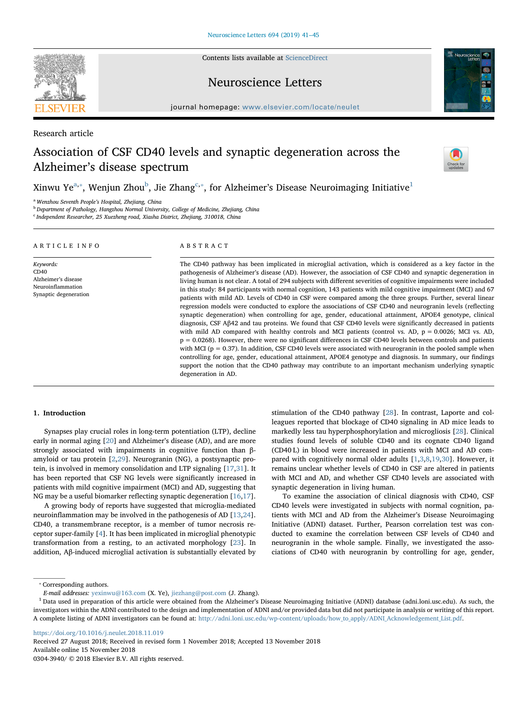Contents lists available at [ScienceDirect](http://www.sciencedirect.com/science/journal/03043940)



# Neuroscience Letters

journal homepage: [www.elsevier.com/locate/neulet](https://www.elsevier.com/locate/neulet)



# Research article

# Association of CSF CD40 levels and synaptic degeneration across the Alzheimer's disease spectrum



Xinwu Ye $\rm^{a,*}$  $\rm^{a,*}$  $\rm^{a,*}$ , Wenjun Zhou $\rm^{b}$  $\rm^{b}$  $\rm^{b}$ , Jie Zhang $\rm^{c,*}$  $\rm^{c,*}$  $\rm^{c,*}$ , for Alzheimer's Disease Neuroimaging Initiative $\rm^{1}$  $\rm^{1}$  $\rm^{1}$ 

degeneration in AD.

<span id="page-0-0"></span><sup>a</sup> Wenzhou Seventh People's Hospital, Zhejiang, China

<span id="page-0-2"></span>**b** Department of Pathology, Hangzhou Normal University, College of Medicine, Zhejiang, China

<span id="page-0-3"></span><sup>c</sup> Independent Researcher, 25 Xuezheng road, Xiasha District, Zhejiang, 310018, China

| ARTICLE INFO                                                                           | ABSTRACT                                                                                                                                                                                                                                                                                                                                                                                                                                                                                                                                                                                                                                                                                                                                                                                                                                                                                                                                                                                                                                                                                                                                                                                                                                                                                                                                                                                                                                                                                               |  |  |  |
|----------------------------------------------------------------------------------------|--------------------------------------------------------------------------------------------------------------------------------------------------------------------------------------------------------------------------------------------------------------------------------------------------------------------------------------------------------------------------------------------------------------------------------------------------------------------------------------------------------------------------------------------------------------------------------------------------------------------------------------------------------------------------------------------------------------------------------------------------------------------------------------------------------------------------------------------------------------------------------------------------------------------------------------------------------------------------------------------------------------------------------------------------------------------------------------------------------------------------------------------------------------------------------------------------------------------------------------------------------------------------------------------------------------------------------------------------------------------------------------------------------------------------------------------------------------------------------------------------------|--|--|--|
| Keywords:<br>CD40<br>Alzheimer's disease<br>Neuroinflammation<br>Synaptic degeneration | The CD40 pathway has been implicated in microglial activation, which is considered as a key factor in the<br>pathogenesis of Alzheimer's disease (AD). However, the association of CSF CD40 and synaptic degeneration in<br>living human is not clear. A total of 294 subjects with different severities of cognitive impairments were included<br>in this study: 84 participants with normal cognition, 143 patients with mild cognitive impairment (MCI) and 67<br>patients with mild AD. Levels of CD40 in CSF were compared among the three groups. Further, several linear<br>regression models were conducted to explore the associations of CSF CD40 and neurogranin levels (reflecting<br>synaptic degeneration) when controlling for age, gender, educational attainment, APOE4 genotype, clinical<br>diagnosis, CSF AB42 and tau proteins. We found that CSF CD40 levels were significantly decreased in patients<br>with mild AD compared with healthy controls and MCI patients (control vs. AD, $p = 0.0026$ ; MCI vs. AD,<br>$p = 0.0268$ ). However, there were no significant differences in CSF CD40 levels between controls and patients<br>with MCI ( $p = 0.37$ ). In addition, CSF CD40 levels were associated with neurogranin in the pooled sample when<br>controlling for age, gender, educational attainment, APOE4 genotype and diagnosis. In summary, our findings<br>support the notion that the CD40 pathway may contribute to an important mechanism underlying synaptic |  |  |  |

# 1. Introduction

Synapses play crucial roles in long-term potentiation (LTP), decline early in normal aging [\[20](#page-4-0)] and Alzheimer's disease (AD), and are more strongly associated with impairments in cognitive function than βamyloid or tau protein [[2](#page-3-0),[29\]](#page-4-1). Neurogranin (NG), a postsynaptic protein, is involved in memory consolidation and LTP signaling [\[17](#page-4-2)[,31](#page-4-3)]. It has been reported that CSF NG levels were significantly increased in patients with mild cognitive impairment (MCI) and AD, suggesting that NG may be a useful biomarker reflecting synaptic degeneration [[16,](#page-4-4)[17](#page-4-2)].

A growing body of reports have suggested that microglia-mediated neuroinflammation may be involved in the pathogenesis of AD [[13,](#page-3-1)[24](#page-4-5)]. CD40, a transmembrane receptor, is a member of tumor necrosis receptor super-family [\[4\]](#page-3-2). It has been implicated in microglial phenotypic transformation from a resting, to an activated morphology [[23\]](#page-4-6). In addition, Aβ-induced microglial activation is substantially elevated by

stimulation of the CD40 pathway [\[28](#page-4-7)]. In contrast, Laporte and colleagues reported that blockage of CD40 signaling in AD mice leads to markedly less tau hyperphosphorylation and microgliosis [[28\]](#page-4-7). Clinical studies found levels of soluble CD40 and its cognate CD40 ligand (CD40 L) in blood were increased in patients with MCI and AD compared with cognitively normal older adults [[1](#page-3-3),[3](#page-3-4)[,8](#page-3-5)[,19](#page-4-8)[,30](#page-4-9)]. However, it remains unclear whether levels of CD40 in CSF are altered in patients with MCI and AD, and whether CSF CD40 levels are associated with synaptic degeneration in living human.

To examine the association of clinical diagnosis with CD40, CSF CD40 levels were investigated in subjects with normal cognition, patients with MCI and AD from the Alzheimer's Disease Neuroimaging Initiative (ADNI) dataset. Further, Pearson correlation test was conducted to examine the correlation between CSF levels of CD40 and neurogranin in the whole sample. Finally, we investigated the associations of CD40 with neurogranin by controlling for age, gender,

<https://doi.org/10.1016/j.neulet.2018.11.019>

Received 27 August 2018; Received in revised form 1 November 2018; Accepted 13 November 2018 Available online 15 November 2018

0304-3940/ © 2018 Elsevier B.V. All rights reserved.

<span id="page-0-1"></span><sup>⁎</sup> Corresponding authors.

E-mail addresses: [yexinwu@163.com](mailto:yexinwu@163.com) (X. Ye), [jiezhang@post.com](mailto:jiezhang@post.com) (J. Zhang).

<span id="page-0-4"></span><sup>&</sup>lt;sup>1</sup> Data used in preparation of this article were obtained from the Alzheimer's Disease Neuroimaging Initiative (ADNI) database (adni.loni.usc.edu). As such, the investigators within the ADNI contributed to the design and implementation of ADNI and/or provided data but did not participate in analysis or writing of this report. A complete listing of ADNI investigators can be found at: <http://adni.loni.usc.edu/wp-content/uploads/how>[\\_to\\_apply/ADNI\\_Acknowledgement\\_List.pdf.](http://_to_apply/ADNI_Acknowledgement_List.pdf)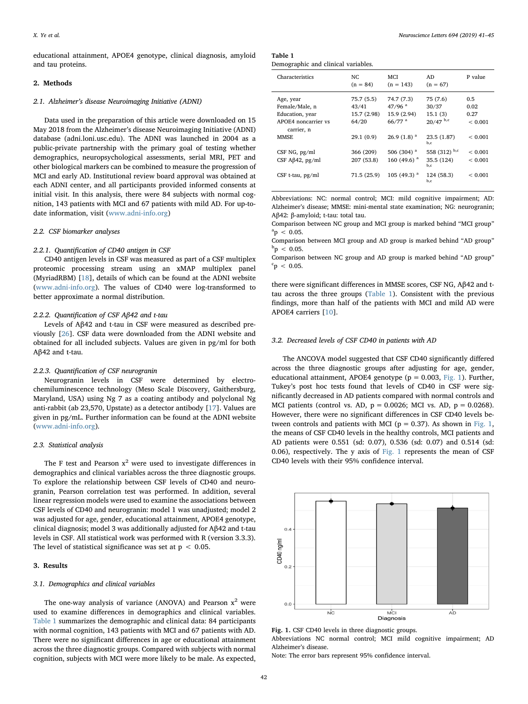educational attainment, APOE4 genotype, clinical diagnosis, amyloid and tau proteins.

# 2. Methods

#### 2.1. Alzheimer's disease Neuroimaging Initiative (ADNI)

Data used in the preparation of this article were downloaded on 15 May 2018 from the Alzheimer's disease Neuroimaging Initiative (ADNI) database (adni.loni.usc.edu). The ADNI was launched in 2004 as a public-private partnership with the primary goal of testing whether demographics, neuropsychological assessments, serial MRI, PET and other biological markers can be combined to measure the progression of MCI and early AD. Institutional review board approval was obtained at each ADNI center, and all participants provided informed consents at initial visit. In this analysis, there were 84 subjects with normal cognition, 143 patients with MCI and 67 patients with mild AD. For up-todate information, visit ([www.adni-info.org](http://www.adni-info.org))

#### 2.2. CSF biomarker analyses

# 2.2.1. Quantification of CD40 antigen in CSF

CD40 antigen levels in CSF was measured as part of a CSF multiplex proteomic processing stream using an xMAP multiplex panel (MyriadRBM) [[18\]](#page-4-10), details of which can be found at the ADNI website ([www.adni-info.org](http://www.adni-info.org)). The values of CD40 were log-transformed to better approximate a normal distribution.

#### 2.2.2. Quantification of CSF Aβ42 and t-tau

Levels of Aβ42 and t-tau in CSF were measured as described previously [\[26](#page-4-11)]. CSF data were downloaded from the ADNI website and obtained for all included subjects. Values are given in pg/ml for both Aβ42 and t-tau.

#### 2.2.3. Quantification of CSF neurogranin

Neurogranin levels in CSF were determined by electrochemiluminescence technology (Meso Scale Discovery, Gaithersburg, Maryland, USA) using Ng 7 as a coating antibody and polyclonal Ng anti-rabbit (ab 23,570, Upstate) as a detector antibody [\[17](#page-4-2)]. Values are given in pg/mL. Further information can be found at the ADNI website ([www.adni-info.org](http://www.adni-info.org)).

#### 2.3. Statistical analysis

The F test and Pearson  $x^2$  were used to investigate differences in demographics and clinical variables across the three diagnostic groups. To explore the relationship between CSF levels of CD40 and neurogranin, Pearson correlation test was performed. In addition, several linear regression models were used to examine the associations between CSF levels of CD40 and neurogranin: model 1 was unadjusted; model 2 was adjusted for age, gender, educational attainment, APOE4 genotype, clinical diagnosis; model 3 was additionally adjusted for Aβ42 and t-tau levels in CSF. All statistical work was performed with R (version 3.3.3). The level of statistical significance was set at  $p < 0.05$ .

# 3. Results

## 3.1. Demographics and clinical variables

The one-way analysis of variance (ANOVA) and Pearson  $x^2$  were used to examine differences in demographics and clinical variables. [Table 1](#page-1-0) summarizes the demographic and clinical data: 84 participants with normal cognition, 143 patients with MCI and 67 patients with AD. There were no significant differences in age or educational attainment across the three diagnostic groups. Compared with subjects with normal cognition, subjects with MCI were more likely to be male. As expected,

<span id="page-1-0"></span>

| Table 1                             |  |
|-------------------------------------|--|
| Demographic and clinical variables. |  |

| Characteristics                                                                     | NC<br>$(n = 84)$                            | MCI<br>$(n = 143)$                                                        | AD.<br>$(n = 67)$                           | P value                             |
|-------------------------------------------------------------------------------------|---------------------------------------------|---------------------------------------------------------------------------|---------------------------------------------|-------------------------------------|
| Age, year<br>Female/Male, n<br>Education, year<br>APOE4 noncarrier vs<br>carrier, n | 75.7 (5.5)<br>43/41<br>15.7 (2.98)<br>64/20 | 74.7 (7.3)<br>$47/96$ <sup>a</sup><br>15.9 (2.94)<br>$66/77$ <sup>a</sup> | 75 (7.6)<br>30/37<br>15.1(3)<br>$20/47$ b,c | 0.5<br>0.02<br>0.27<br>${}_{0.001}$ |
| <b>MMSE</b>                                                                         | 29.1(0.9)                                   | $26.9(1.8)^{a}$                                                           | 23.5(1.87)<br>b,c                           | ${}_{0.001}$                        |
| $CSF NG$ , $pg/ml$<br>CSF $A\beta$ 42, pg/ml                                        | 366 (209)<br>207 (53.8)                     | 506 (304) $^{\rm a}$<br>160 (49.6) <sup>a</sup>                           | 558 (312) $b,c$<br>35.5 (124)<br>b,c        | ${}_{0.001}$<br>${}< 0.001$         |
| $CSF$ t-tau, $pg/ml$                                                                | 71.5(25.9)                                  | 105 (49.3) $^{\rm a}$                                                     | 124 (58.3)<br>b,c                           | ${}< 0.001$                         |

Abbreviations: NC: normal control; MCI: mild cognitive impairment; AD: Alzheimer's disease; MMSE: mini-mental state examination; NG: neurogranin; Aβ42: β-amyloid; t-tau: total tau.

Comparison between NC group and MCI group is marked behind "MCI group"  ${}^{a}p$  < 0.05.

Comparison between MCI group and AD group is marked behind "AD group"  $\rm{^{b}p\, <\, 0.05.}$ 

Comparison between NC group and AD group is marked behind "AD group"  $\rm{^c p \, < \, 0.05.}$ 

there were significant differences in MMSE scores, CSF NG, Aβ42 and ttau across the three groups [\(Table 1](#page-1-0)). Consistent with the previous findings, more than half of the patients with MCI and mild AD were APOE4 carriers [[10\]](#page-3-6).

# 3.2. Decreased levels of CSF CD40 in patients with AD

The ANCOVA model suggested that CSF CD40 significantly differed across the three diagnostic groups after adjusting for age, gender, educational attainment, APOE4 genotype ( $p = 0.003$ , [Fig. 1](#page-1-1)). Further, Tukey's post hoc tests found that levels of CD40 in CSF were significantly decreased in AD patients compared with normal controls and MCI patients (control vs. AD,  $p = 0.0026$ ; MCI vs. AD,  $p = 0.0268$ ). However, there were no significant differences in CSF CD40 levels between controls and patients with MCI ( $p = 0.37$ ). As shown in [Fig. 1](#page-1-1), the means of CSF CD40 levels in the healthy controls, MCI patients and AD patients were 0.551 (sd: 0.07), 0.536 (sd: 0.07) and 0.514 (sd: 0.06), respectively. The y axis of [Fig. 1](#page-1-1) represents the mean of CSF CD40 levels with their 95% confidence interval.

<span id="page-1-1"></span>

Fig. 1. CSF CD40 levels in three diagnostic groups. Abbreviations NC normal control; MCI mild cognitive impairment; AD Alzheimer's disease.

Note: The error bars represent 95% confidence interval.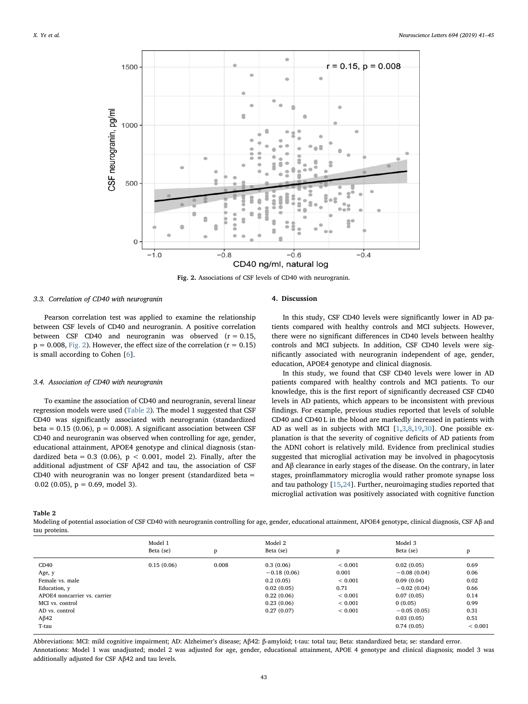<span id="page-2-0"></span>

Fig. 2. Associations of CSF levels of CD40 with neurogranin.

# 3.3. Correlation of CD40 with neurogranin

Pearson correlation test was applied to examine the relationship between CSF levels of CD40 and neurogranin. A positive correlation between CSF CD40 and neurogranin was observed  $(r = 0.15,$  $p = 0.008$ , [Fig. 2](#page-2-0)). However, the effect size of the correlation ( $r = 0.15$ ) is small according to Cohen [[6](#page-3-7)].

# 3.4. Association of CD40 with neurogranin

To examine the association of CD40 and neurogranin, several linear regression models were used [\(Table 2](#page-2-1)). The model 1 suggested that CSF CD40 was significantly associated with neurogranin (standardized beta =  $0.15$  (0.06), p = 0.008). A significant association between CSF CD40 and neurogranin was observed when controlling for age, gender, educational attainment, APOE4 genotype and clinical diagnosis (standardized beta = 0.3 (0.06),  $p < 0.001$ , model 2). Finally, after the additional adjustment of CSF Aβ42 and tau, the association of CSF CD40 with neurogranin was no longer present (standardized beta = 0.02 (0.05),  $p = 0.69$ , model 3).

# 4. Discussion

In this study, CSF CD40 levels were significantly lower in AD patients compared with healthy controls and MCI subjects. However, there were no significant differences in CD40 levels between healthy controls and MCI subjects. In addition, CSF CD40 levels were significantly associated with neurogranin independent of age, gender, education, APOE4 genotype and clinical diagnosis.

In this study, we found that CSF CD40 levels were lower in AD patients compared with healthy controls and MCI patients. To our knowledge, this is the first report of significantly decreased CSF CD40 levels in AD patients, which appears to be inconsistent with previous findings. For example, previous studies reported that levels of soluble CD40 and CD40 L in the blood are markedly increased in patients with AD as well as in subjects with MCI [[1](#page-3-3),[3](#page-3-4)[,8,](#page-3-5)[19](#page-4-8)[,30](#page-4-9)]. One possible explanation is that the severity of cognitive deficits of AD patients from the ADNI cohort is relatively mild. Evidence from preclinical studies suggested that microglial activation may be involved in phagocytosis and Aβ clearance in early stages of the disease. On the contrary, in later stages, proinflammatory microglia would rather promote synapse loss and tau pathology [[15,](#page-3-8)[24\]](#page-4-5). Further, neuroimaging studies reported that microglial activation was positively associated with cognitive function

<span id="page-2-1"></span>Table 2

Modeling of potential association of CSF CD40 with neurogranin controlling for age, gender, educational attainment, APOE4 genotype, clinical diagnosis, CSF Aβ and tau proteins.

|                              | Model 1<br>Beta (se) | p     | Model 2<br>Beta (se) | p           | Model 3<br>Beta (se) | p           |
|------------------------------|----------------------|-------|----------------------|-------------|----------------------|-------------|
| CD40                         | 0.15(0.06)           | 0.008 | 0.3(0.06)            | ${}< 0.001$ | 0.02(0.05)           | 0.69        |
| Age, y                       |                      |       | $-0.18(0.06)$        | 0.001       | $-0.08(0.04)$        | 0.06        |
| Female vs. male              |                      |       | 0.2(0.05)            | ${}< 0.001$ | 0.09(0.04)           | 0.02        |
| Education, y                 |                      |       | 0.02(0.05)           | 0.71        | $-0.02(0.04)$        | 0.66        |
| APOE4 noncarrier vs. carrier |                      |       | 0.22(0.06)           | ${}< 0.001$ | 0.07(0.05)           | 0.14        |
| MCI vs. control              |                      |       | 0.23(0.06)           | ${}< 0.001$ | 0(0.05)              | 0.99        |
| AD vs. control               |                      |       | 0.27(0.07)           | ${}< 0.001$ | $-0.05(0.05)$        | 0.31        |
| $A\beta42$                   |                      |       |                      |             | 0.03(0.05)           | 0.51        |
| T-tau                        |                      |       |                      |             | 0.74(0.05)           | ${}< 0.001$ |

Abbreviations: MCI: mild cognitive impairment; AD: Alzheimer's disease; Aβ42: β-amyloid; t-tau: total tau; Beta: standardized beta; se: standard error. Annotations: Model 1 was unadjusted; model 2 was adjusted for age, gender, educational attainment, APOE 4 genotype and clinical diagnosis; model 3 was additionally adjusted for CSF Aβ42 and tau levels.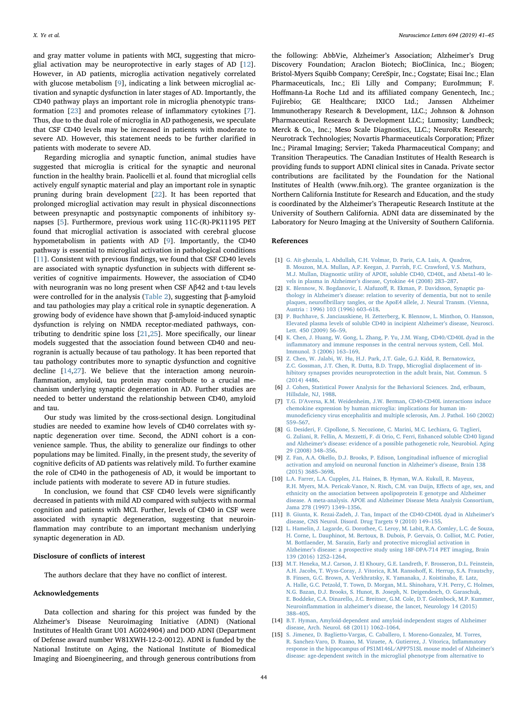and gray matter volume in patients with MCI, suggesting that microglial activation may be neuroprotective in early stages of AD [\[12](#page-3-9)]. However, in AD patients, microglia activation negatively correlated with glucose metabolism [[9](#page-3-10)], indicating a link between microglial activation and synaptic dysfunction in later stages of AD. Importantly, the CD40 pathway plays an important role in microglia phenotypic transformation [\[23](#page-4-6)] and promotes release of inflammatory cytokines [[7](#page-3-11)]. Thus, due to the dual role of microglia in AD pathogenesis, we speculate that CSF CD40 levels may be increased in patients with moderate to severe AD. However, this statement needs to be further clarified in patients with moderate to severe AD.

Regarding microglia and synaptic function, animal studies have suggested that microglia is critical for the synaptic and neuronal function in the healthy brain. Paolicelli et al. found that microglial cells actively engulf synaptic material and play an important role in synaptic pruning during brain development [[22\]](#page-4-12). It has been reported that prolonged microglial activation may result in physical disconnections between presynaptic and postsynaptic components of inhibitory synapses [[5](#page-3-12)]. Furthermore, previous work using 11C-(R)-PK11195 PET found that microglial activation is associated with cerebral glucose hypometabolism in patients with AD [[9](#page-3-10)]. Importantly, the CD40 pathway is essential to microglial activation in pathological conditions [[11\]](#page-3-13). Consistent with previous findings, we found that CSF CD40 levels are associated with synaptic dysfunction in subjects with different severities of cognitive impairments. However, the association of CD40 with neurogranin was no long present when CSF Aβ42 and t-tau levels were controlled for in the analysis [\(Table 2\)](#page-2-1), suggesting that β-amyloid and tau pathologies may play a critical role in synaptic degeneration. A growing body of evidence have shown that β-amyloid-induced synaptic dysfunction is relying on NMDA receptor-mediated pathways, contributing to dendritic spine loss [\[21](#page-4-13)[,25](#page-4-14)]. More specifically, our linear models suggested that the association found between CD40 and neurogranin is actually because of tau pathology. It has been reported that tau pathology contributes more to synaptic dysfunction and cognitive decline [[14,](#page-3-14)[27\]](#page-4-15). We believe that the interaction among neuroinflammation, amyloid, tau protein may contribute to a crucial mechanism underlying synaptic degeneration in AD. Further studies are needed to better understand the relationship between CD40, amyloid and tau.

Our study was limited by the cross-sectional design. Longitudinal studies are needed to examine how levels of CD40 correlates with synaptic degeneration over time. Second, the ADNI cohort is a convenience sample. Thus, the ability to generalize our findings to other populations may be limited. Finally, in the present study, the severity of cognitive deficits of AD patients was relatively mild. To further examine the role of CD40 in the pathogenesis of AD, it would be important to include patients with moderate to severe AD in future studies.

In conclusion, we found that CSF CD40 levels were significantly decreased in patients with mild AD compared with subjects with normal cognition and patients with MCI. Further, levels of CD40 in CSF were associated with synaptic degeneration, suggesting that neuroinflammation may contribute to an important mechanism underlying synaptic degeneration in AD.

# Disclosure of conflicts of interest

The authors declare that they have no conflict of interest.

# Acknowledgements

Data collection and sharing for this project was funded by the Alzheimer's Disease Neuroimaging Initiative (ADNI) (National Institutes of Health Grant U01 AG024904) and DOD ADNI (Department of Defense award number W81XWH-12-2-0012). ADNI is funded by the National Institute on Aging, the National Institute of Biomedical Imaging and Bioengineering, and through generous contributions from

the following: AbbVie, Alzheimer's Association; Alzheimer's Drug Discovery Foundation; Araclon Biotech; BioClinica, Inc.; Biogen; Bristol-Myers Squibb Company; CereSpir, Inc.; Cogstate; Eisai Inc.; Elan Pharmaceuticals, Inc.; Eli Lilly and Company; EuroImmun; F. Hoffmann-La Roche Ltd and its affiliated company Genentech, Inc.; Fujirebio; GE Healthcare; IXICO Ltd.; Janssen Alzheimer Immunotherapy Research & Development, LLC.; Johnson & Johnson Pharmaceutical Research & Development LLC.; Lumosity; Lundbeck; Merck & Co., Inc.; Meso Scale Diagnostics, LLC.; NeuroRx Research; Neurotrack Technologies; Novartis Pharmaceuticals Corporation; Pfizer Inc.; Piramal Imaging; Servier; Takeda Pharmaceutical Company; and Transition Therapeutics. The Canadian Institutes of Health Research is providing funds to support ADNI clinical sites in Canada. Private sector contributions are facilitated by the Foundation for the National Institutes of Health (www.fnih.org). The grantee organization is the Northern California Institute for Research and Education, and the study is coordinated by the Alzheimer's Therapeutic Research Institute at the University of Southern California. ADNI data are disseminated by the Laboratory for Neuro Imaging at the University of Southern California.

#### References

- <span id="page-3-3"></span>[1] [G. Ait-ghezala, L. Abdullah, C.H. Volmar, D. Paris, C.A. Luis, A. Quadros,](http://refhub.elsevier.com/S0304-3940(18)30805-X/sbref0005) [B. Mouzon, M.A. Mullan, A.P. Keegan, J. Parrish, F.C. Crawford, V.S. Mathura,](http://refhub.elsevier.com/S0304-3940(18)30805-X/sbref0005) [M.J. Mullan, Diagnostic utility of APOE, soluble CD40, CD40L, and Abeta1-40 le](http://refhub.elsevier.com/S0304-3940(18)30805-X/sbref0005)vels in plasma in Alzheimer'[s disease, Cytokine 44 \(2008\) 283](http://refhub.elsevier.com/S0304-3940(18)30805-X/sbref0005)–287.
- <span id="page-3-0"></span>[2] K. Blennow, N. Bogdanovic, I. Alafuzoff[, R. Ekman, P. Davidsson, Synaptic pa](http://refhub.elsevier.com/S0304-3940(18)30805-X/sbref0010)thology in Alzheimer'[s disease: relation to severity of dementia, but not to senile](http://refhub.elsevier.com/S0304-3940(18)30805-X/sbref0010) plaques, neurofi[brillary tangles, or the ApoE4 allele, J. Neural Transm. \(Vienna,](http://refhub.elsevier.com/S0304-3940(18)30805-X/sbref0010) [Austria : 1996\) 103 \(1996\) 603](http://refhub.elsevier.com/S0304-3940(18)30805-X/sbref0010)–618.
- <span id="page-3-4"></span>[3] [P. Buchhave, S. Janciauskiene, H. Zetterberg, K. Blennow, L. Minthon, O. Hansson,](http://refhub.elsevier.com/S0304-3940(18)30805-X/sbref0015) [Elevated plasma levels of soluble CD40 in incipient Alzheimer](http://refhub.elsevier.com/S0304-3940(18)30805-X/sbref0015)'s disease, Neurosci. [Lett. 450 \(2009\) 56](http://refhub.elsevier.com/S0304-3940(18)30805-X/sbref0015)–59.
- <span id="page-3-2"></span>[4] [K. Chen, J. Huang, W. Gong, L. Zhang, P. Yu, J.M. Wang, CD40/CD40L dyad in the](http://refhub.elsevier.com/S0304-3940(18)30805-X/sbref0020) infl[ammatory and immune responses in the central nervous system, Cell. Mol.](http://refhub.elsevier.com/S0304-3940(18)30805-X/sbref0020) [Immunol. 3 \(2006\) 163](http://refhub.elsevier.com/S0304-3940(18)30805-X/sbref0020)–169.
- <span id="page-3-12"></span>[5] [Z. Chen, W. Jalabi, W. Hu, H.J. Park, J.T. Gale, G.J. Kidd, R. Bernatowicz,](http://refhub.elsevier.com/S0304-3940(18)30805-X/sbref0025) [Z.C. Gossman, J.T. Chen, R. Dutta, B.D. Trapp, Microglial displacement of in](http://refhub.elsevier.com/S0304-3940(18)30805-X/sbref0025)[hibitory synapses provides neuroprotection in the adult brain, Nat. Commun. 5](http://refhub.elsevier.com/S0304-3940(18)30805-X/sbref0025) [\(2014\) 4486.](http://refhub.elsevier.com/S0304-3940(18)30805-X/sbref0025)
- <span id="page-3-7"></span>[6] [J. Cohen, Statistical Power Analysis for the Behavioral Sciences. 2nd, erlbaum,](http://refhub.elsevier.com/S0304-3940(18)30805-X/sbref0030) [Hillsdale, NJ, 1988.](http://refhub.elsevier.com/S0304-3940(18)30805-X/sbref0030)
- <span id="page-3-11"></span>[7] T.G. D'[Aversa, K.M. Weidenheim, J.W. Berman, CD40-CD40L interactions induce](http://refhub.elsevier.com/S0304-3940(18)30805-X/sbref0035) [chemokine expression by human microglia: implications for human im](http://refhub.elsevier.com/S0304-3940(18)30805-X/sbref0035)munodefi[ciency virus encephalitis and multiple sclerosis, Am. J. Pathol. 160 \(2002\)](http://refhub.elsevier.com/S0304-3940(18)30805-X/sbref0035) 559–[567.](http://refhub.elsevier.com/S0304-3940(18)30805-X/sbref0035)
- <span id="page-3-5"></span>[8] [G. Desideri, F. Cipollone, S. Necozione, C. Marini, M.C. Lechiara, G. Taglieri,](http://refhub.elsevier.com/S0304-3940(18)30805-X/sbref0040) [G. Zuliani, R. Fellin, A. Mezzetti, F. di Orio, C. Ferri, Enhanced soluble CD40 ligand](http://refhub.elsevier.com/S0304-3940(18)30805-X/sbref0040) and Alzheimer'[s disease: evidence of a possible pathogenetic role, Neurobiol. Aging](http://refhub.elsevier.com/S0304-3940(18)30805-X/sbref0040) [29 \(2008\) 348](http://refhub.elsevier.com/S0304-3940(18)30805-X/sbref0040)–356.
- <span id="page-3-10"></span>[9] [Z. Fan, A.A. Okello, D.J. Brooks, P. Edison, Longitudinal in](http://refhub.elsevier.com/S0304-3940(18)30805-X/sbref0045)fluence of microglial [activation and amyloid on neuronal function in Alzheimer](http://refhub.elsevier.com/S0304-3940(18)30805-X/sbref0045)'s disease, Brain 138 [\(2015\) 3685](http://refhub.elsevier.com/S0304-3940(18)30805-X/sbref0045)–3698.
- <span id="page-3-6"></span>[10] [L.A. Farrer, L.A. Cupples, J.L. Haines, B. Hyman, W.A. Kukull, R. Mayeux,](http://refhub.elsevier.com/S0304-3940(18)30805-X/sbref0050) [R.H. Myers, M.A. Pericak-Vance, N. Risch, C.M. van Duijn, E](http://refhub.elsevier.com/S0304-3940(18)30805-X/sbref0050)ffects of age, sex, and [ethnicity on the association between apolipoprotein E genotype and Alzheimer](http://refhub.elsevier.com/S0304-3940(18)30805-X/sbref0050) [disease. A meta-analysis. APOE and Alzheimer Disease Meta Analysis Consortium,](http://refhub.elsevier.com/S0304-3940(18)30805-X/sbref0050) [Jama 278 \(1997\) 1349](http://refhub.elsevier.com/S0304-3940(18)30805-X/sbref0050)–1356.
- <span id="page-3-13"></span>[11] [B. Giunta, K. Rezai-Zadeh, J. Tan, Impact of the CD40-CD40L dyad in Alzheimer](http://refhub.elsevier.com/S0304-3940(18)30805-X/sbref0055)'s [disease, CNS Neurol. Disord. Drug Targets 9 \(2010\) 149](http://refhub.elsevier.com/S0304-3940(18)30805-X/sbref0055)–155.
- <span id="page-3-9"></span>[12] L. [Hamelin, J. Lagarde, G. Dorothee, C. Leroy, M. Labit, R.A. Comley, L.C. de Souza,](http://refhub.elsevier.com/S0304-3940(18)30805-X/sbref0060) [H. Corne, L. Dauphinot, M. Bertoux, B. Dubois, P. Gervais, O. Colliot, M.C. Potier,](http://refhub.elsevier.com/S0304-3940(18)30805-X/sbref0060) [M. Bottlaender, M. Sarazin, Early and protective microglial activation in](http://refhub.elsevier.com/S0304-3940(18)30805-X/sbref0060) Alzheimer'[s disease: a prospective study using 18F-DPA-714 PET imaging, Brain](http://refhub.elsevier.com/S0304-3940(18)30805-X/sbref0060) [139 \(2016\) 1252](http://refhub.elsevier.com/S0304-3940(18)30805-X/sbref0060)–1264.
- <span id="page-3-1"></span>[13] [M.T. Heneka, M.J. Carson, J. El Khoury, G.E. Landreth, F. Brosseron, D.L. Feinstein,](http://refhub.elsevier.com/S0304-3940(18)30805-X/sbref0065) [A.H. Jacobs, T. Wyss-Coray, J. Vitorica, R.M. Ransoho](http://refhub.elsevier.com/S0304-3940(18)30805-X/sbref0065)ff, K. Herrup, S.A. Frautschy, [B. Finsen, G.C. Brown, A. Verkhratsky, K. Yamanaka, J. Koistinaho, E. Latz,](http://refhub.elsevier.com/S0304-3940(18)30805-X/sbref0065) [A. Halle, G.C. Petzold, T. Town, D. Morgan, M.L. Shinohara, V.H. Perry, C. Holmes,](http://refhub.elsevier.com/S0304-3940(18)30805-X/sbref0065) [N.G. Bazan, D.J. Brooks, S. Hunot, B. Joseph, N. Deigendesch, O. Garaschuk,](http://refhub.elsevier.com/S0304-3940(18)30805-X/sbref0065) [E. Boddeke, C.A. Dinarello, J.C. Breitner, G.M. Cole, D.T. Golenbock, M.P. Kummer,](http://refhub.elsevier.com/S0304-3940(18)30805-X/sbref0065) Neuroinflammation in alzheimer'[s disease, the lancet, Neurology 14 \(2015\)](http://refhub.elsevier.com/S0304-3940(18)30805-X/sbref0065) 388–[405.](http://refhub.elsevier.com/S0304-3940(18)30805-X/sbref0065)
- <span id="page-3-14"></span>[14] [B.T. Hyman, Amyloid-dependent and amyloid-independent stages of Alzheimer](http://refhub.elsevier.com/S0304-3940(18)30805-X/sbref0070) [disease, Arch. Neurol. 68 \(2011\) 1062](http://refhub.elsevier.com/S0304-3940(18)30805-X/sbref0070)–1064.
- <span id="page-3-8"></span>[15] [S. Jimenez, D. Baglietto-Vargas, C. Caballero, I. Moreno-Gonzalez, M. Torres,](http://refhub.elsevier.com/S0304-3940(18)30805-X/sbref0075) [R. Sanchez-Varo, D. Ruano, M. Vizuete, A. Gutierrez, J. Vitorica, In](http://refhub.elsevier.com/S0304-3940(18)30805-X/sbref0075)flammatory [response in the hippocampus of PS1M146L/APP751SL mouse model of Alzheimer](http://refhub.elsevier.com/S0304-3940(18)30805-X/sbref0075)'s [disease: age-dependent switch in the microglial phenotype from alternative to](http://refhub.elsevier.com/S0304-3940(18)30805-X/sbref0075)